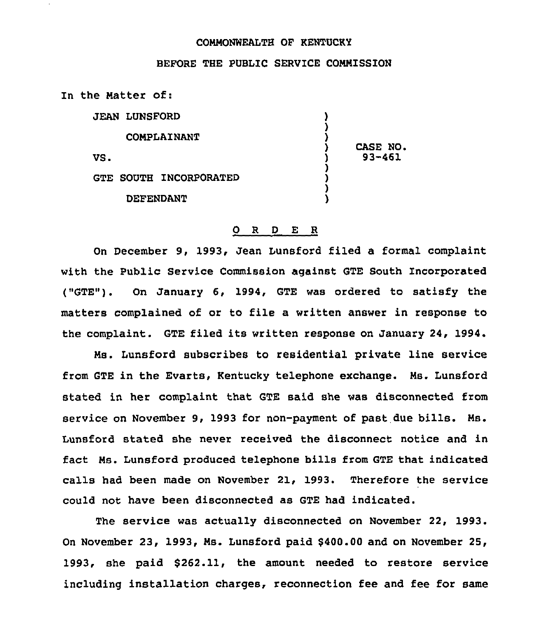## COMMONWEALTH OF KENTUCKY

## BEFORE THE PUBLIC SERVICE CONNISSION

In the Natter of:

|     | <b>JEAN LUNSFORD</b>          |            |  |
|-----|-------------------------------|------------|--|
|     | <b>COMPLAINANT</b>            | CASE NO.   |  |
| VS. |                               | $93 - 461$ |  |
|     | <b>GTE SOUTH INCORPORATED</b> |            |  |
|     | <b>DEFENDANT</b>              |            |  |

## 0 <sup>R</sup> <sup>D</sup> E <sup>R</sup>

On December 9, 1993, Jean Lunsford filed a forrnal complaint with the Public Service Commission against GTE South Incorporated ("GTE"). On January 6, 1994, GTE was ordered to satisfy the matters complained of or to file a written answer in response to the complaint. GTE filed its written response on January 24, 1994.

Ms. Lunsford subscribes to residential private line service from GTE in the Evarts, Kentucky telephone exchange. Ns. Lunsford stated in her complaint that GTE said she was disconnected from service on November 9, 1993 for non-payment of past due bills. Ms. Lunsford stated she never received the disconnect notice and in fact Ns. Lunsford produced telephone bills from GTE that indicated calls had been made on November 21, 1993. Therefore the service could not have been disconnected as GTE had indicated.

The service was actually disconnected on November 22, 1993. On November 23, 1993, Ns. Lunsford paid \$400.00 and on November 25, 1993, she paid \$262.11, the amount needed to restore service including installation charges, reconnection fee and fee for same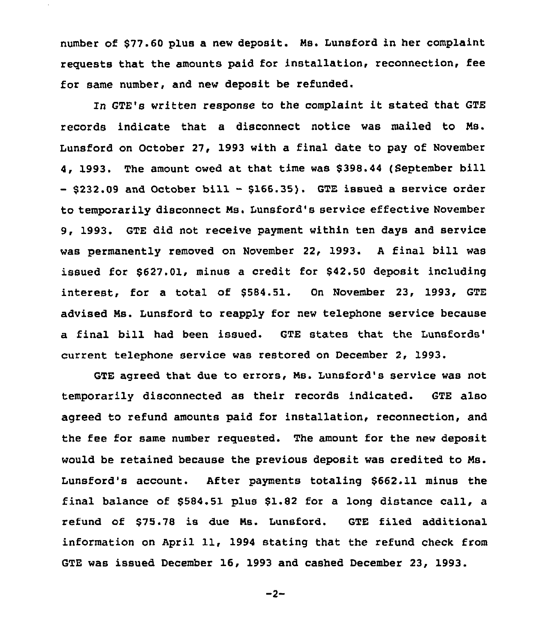number of \$77.60 plus a new deposit. Ms. Lunsford in her complaint requests that the amounts paid for installation, reconnection, fee for same number, and new deposit be refunded.

In GTE's written response to the complaint it stated that GTE records indicate that a disconnect notice was mailed to Ms. Lunsford on October 27, 1993 with a final date to pay of November 4, 1993. The amount owed at that time was \$ 398.44 (September bill  $-$  \$232.09 and October bill - \$166.35). GTE issued a service order to temporarily disconnect Ms. Lunsford's service effective November 9, 1993. GTE did not receive payment within ten days and service was permanently removed on November 22, 1993. <sup>A</sup> final bill was issued for \$627.01, minus a credit for \$42.50 deposit including  $interest$ , for a total of  $$584.51$ . On November 23, 1993, GTE advised Ms. Lunsford to reapply for new telephone service because a final bill had been issued. GTE states that the current telephone service was restored on December 2, 1993.

GTE agreed that. due to errors, Ms. Lunsford's service was not temporarily disconnected as their records indicated. GTE also agreed to refund amounts paid for installation, reconnection, and the fee for same number requested. The amount for the new deposit would be retained because the previous deposit was credited to Ms. Lunsford's account. After payments totaling \$662.11 minus the final balance of \$584.51 plus \$1.82 for a long distance call, a refund of \$75.78 is due Ms. Lunsford. GTE filed additional information on April 11, 1994 stating that the refund check from GTE was issued December 16, 1993 and cashed December 23, 1993.

 $-2-$